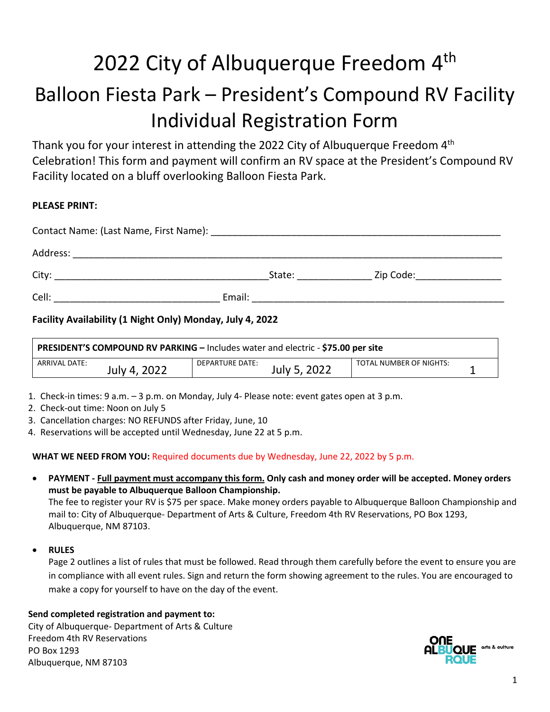# 2022 City of Albuquerque Freedom 4<sup>th</sup> Balloon Fiesta Park – President's Compound RV Facility Individual Registration Form

Thank you for your interest in attending the 2022 City of Albuquerque Freedom 4<sup>th</sup> Celebration! This form and payment will confirm an RV space at the President's Compound RV Facility located on a bluff overlooking Balloon Fiesta Park.

# **PLEASE PRINT:**

| City: |        | State: | Zip Code: _____________ |  |  |
|-------|--------|--------|-------------------------|--|--|
| Cell: | Email: |        |                         |  |  |

# **Facility Availability (1 Night Only) Monday, July 4, 2022**

| PRESIDENT'S COMPOUND RV PARKING - Includes water and electric - \$75.00 per site |                                 |                         |  |  |
|----------------------------------------------------------------------------------|---------------------------------|-------------------------|--|--|
| ARRIVAL DATE:<br>July 4, 2022                                                    | DEPARTURE DATE:<br>July 5, 2022 | TOTAL NUMBER OF NIGHTS: |  |  |

- 1. Check-in times: 9 a.m. 3 p.m. on Monday, July 4- Please note: event gates open at 3 p.m.
- 2. Check-out time: Noon on July 5
- 3. Cancellation charges: NO REFUNDS after Friday, June, 10
- 4. Reservations will be accepted until Wednesday, June 22 at 5 p.m.

**WHAT WE NEED FROM YOU:** Required documents due by Wednesday, June 22, 2022 by 5 p.m.

• **PAYMENT - Full payment must accompany this form. Only cash and money order will be accepted. Money orders must be payable to Albuquerque Balloon Championship.**

The fee to register your RV is \$75 per space. Make money orders payable to Albuquerque Balloon Championship and mail to: City of Albuquerque- Department of Arts & Culture, Freedom 4th RV Reservations, PO Box 1293, Albuquerque, NM 87103.

#### • **RULES**

Page 2 outlines a list of rules that must be followed. Read through them carefully before the event to ensure you are in compliance with all event rules. Sign and return the form showing agreement to the rules. You are encouraged to make a copy for yourself to have on the day of the event.

# **Send completed registration and payment to:**

City of Albuquerque- Department of Arts & Culture Freedom 4th RV Reservations PO Box 1293 Albuquerque, NM 87103